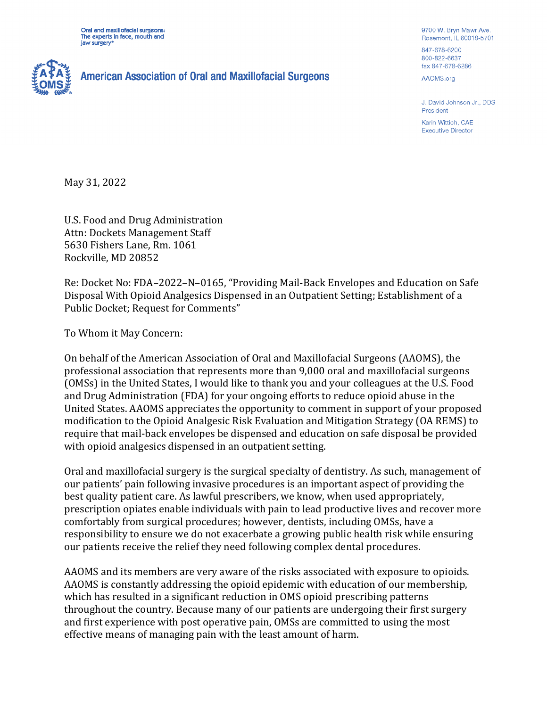Oral and maxillofacial surgeons: The experts in face, mouth and jaw surgery



**American Association of Oral and Maxillofacial Surgeons** 

9700 W. Bryn Mawr Ave. Rosemont, IL 60018-5701 847-678-6200

800-822-6637 fax 847-678-6286

AAOMS.org

J. David Johnson Jr., DDS President

Karin Wittich, CAE **Executive Director** 

May 31, 2022

U.S. Food and Drug Administration Attn: Dockets Management Staff 5630 Fishers Lane, Rm. 1061 Rockville, MD 20852

Re: Docket No: FDA–2022–N–0165, "Providing Mail-Back Envelopes and Education on Safe Disposal With Opioid Analgesics Dispensed in an Outpatient Setting; Establishment of a Public Docket; Request for Comments"

To Whom it May Concern:

On behalf of the American Association of Oral and Maxillofacial Surgeons (AAOMS), the professional association that represents more than 9,000 oral and maxillofacial surgeons (OMSs) in the United States, I would like to thank you and your colleagues at the U.S. Food and Drug Administration (FDA) for your ongoing efforts to reduce opioid abuse in the United States. AAOMS appreciates the opportunity to comment in support of your proposed modification to the Opioid Analgesic Risk Evaluation and Mitigation Strategy (OA REMS) to require that mail-back envelopes be dispensed and education on safe disposal be provided with opioid analgesics dispensed in an outpatient setting.

Oral and maxillofacial surgery is the surgical specialty of dentistry. As such, management of our patients' pain following invasive procedures is an important aspect of providing the best quality patient care. As lawful prescribers, we know, when used appropriately, prescription opiates enable individuals with pain to lead productive lives and recover more comfortably from surgical procedures; however, dentists, including OMSs, have a responsibility to ensure we do not exacerbate a growing public health risk while ensuring our patients receive the relief they need following complex dental procedures.

AAOMS and its members are very aware of the risks associated with exposure to opioids. AAOMS is constantly addressing the opioid epidemic with education of our membership, which has resulted in a significant reduction in OMS opioid prescribing patterns throughout the country. Because many of our patients are undergoing their first surgery and first experience with post operative pain, OMSs are committed to using the most effective means of managing pain with the least amount of harm.